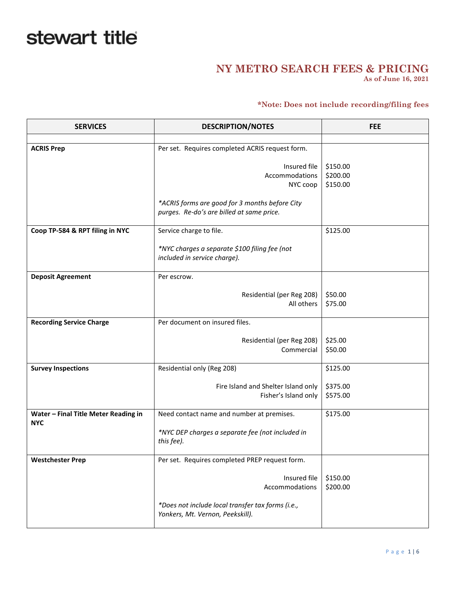## stewart title

## **NY METRO SEARCH FEES & PRICING**

**As of June 16, 2021**

## **\*Note: Does not include recording/filing fees**

| <b>SERVICES</b>                      | <b>DESCRIPTION/NOTES</b>                          | <b>FEE</b> |
|--------------------------------------|---------------------------------------------------|------------|
|                                      |                                                   |            |
| <b>ACRIS Prep</b>                    | Per set. Requires completed ACRIS request form.   |            |
|                                      |                                                   |            |
|                                      | Insured file                                      | \$150.00   |
|                                      | Accommodations                                    | \$200.00   |
|                                      | NYC coop                                          | \$150.00   |
|                                      | *ACRIS forms are good for 3 months before City    |            |
|                                      | purges. Re-do's are billed at same price.         |            |
|                                      |                                                   |            |
| Coop TP-584 & RPT filing in NYC      | Service charge to file.                           | \$125.00   |
|                                      |                                                   |            |
|                                      | *NYC charges a separate \$100 filing fee (not     |            |
|                                      | included in service charge).                      |            |
| <b>Deposit Agreement</b>             | Per escrow.                                       |            |
|                                      |                                                   |            |
|                                      | Residential (per Reg 208)                         | \$50.00    |
|                                      | All others                                        | \$75.00    |
|                                      |                                                   |            |
| <b>Recording Service Charge</b>      | Per document on insured files.                    |            |
|                                      | Residential (per Reg 208)                         | \$25.00    |
|                                      | Commercial                                        | \$50.00    |
|                                      |                                                   |            |
| <b>Survey Inspections</b>            | Residential only (Reg 208)                        | \$125.00   |
|                                      |                                                   |            |
|                                      | Fire Island and Shelter Island only               | \$375.00   |
|                                      | Fisher's Island only                              | \$575.00   |
| Water - Final Title Meter Reading in | Need contact name and number at premises.         | \$175.00   |
| <b>NYC</b>                           |                                                   |            |
|                                      | *NYC DEP charges a separate fee (not included in  |            |
|                                      | this fee).                                        |            |
|                                      |                                                   |            |
| <b>Westchester Prep</b>              | Per set. Requires completed PREP request form.    |            |
|                                      | Insured file                                      | \$150.00   |
|                                      | Accommodations                                    | \$200.00   |
|                                      |                                                   |            |
|                                      | *Does not include local transfer tax forms (i.e., |            |
|                                      | Yonkers, Mt. Vernon, Peekskill).                  |            |
|                                      |                                                   |            |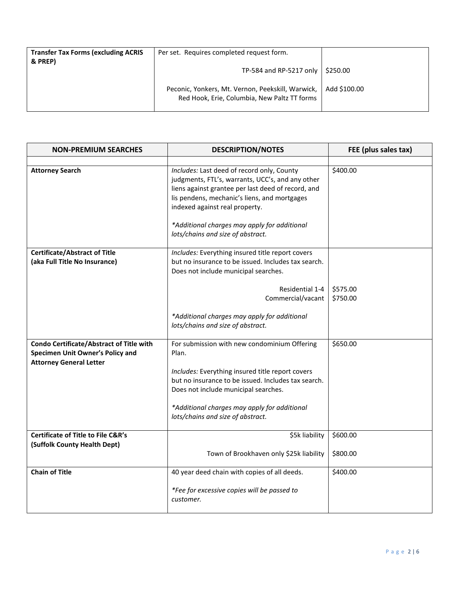| <b>Transfer Tax Forms (excluding ACRIS</b><br>& PREP) | Per set. Requires completed request form.                                                         |              |
|-------------------------------------------------------|---------------------------------------------------------------------------------------------------|--------------|
|                                                       | TP-584 and RP-5217 only   \$250.00                                                                |              |
|                                                       | Peconic, Yonkers, Mt. Vernon, Peekskill, Warwick,<br>Red Hook, Erie, Columbia, New Paltz TT forms | Add \$100.00 |

| <b>NON-PREMIUM SEARCHES</b>                                                                                    | <b>DESCRIPTION/NOTES</b>                                                                                                                                                                                                                                                               | FEE (plus sales tax) |
|----------------------------------------------------------------------------------------------------------------|----------------------------------------------------------------------------------------------------------------------------------------------------------------------------------------------------------------------------------------------------------------------------------------|----------------------|
|                                                                                                                |                                                                                                                                                                                                                                                                                        |                      |
| <b>Attorney Search</b>                                                                                         | Includes: Last deed of record only, County<br>judgments, FTL's, warrants, UCC's, and any other<br>liens against grantee per last deed of record, and<br>lis pendens, mechanic's liens, and mortgages<br>indexed against real property.<br>*Additional charges may apply for additional | \$400.00             |
|                                                                                                                | lots/chains and size of abstract.                                                                                                                                                                                                                                                      |                      |
| <b>Certificate/Abstract of Title</b><br>(aka Full Title No Insurance)                                          | Includes: Everything insured title report covers<br>but no insurance to be issued. Includes tax search.<br>Does not include municipal searches.                                                                                                                                        |                      |
|                                                                                                                | Residential 1-4<br>Commercial/vacant                                                                                                                                                                                                                                                   | \$575.00<br>\$750.00 |
|                                                                                                                | *Additional charges may apply for additional<br>lots/chains and size of abstract.                                                                                                                                                                                                      |                      |
| Condo Certificate/Abstract of Title with<br>Specimen Unit Owner's Policy and<br><b>Attorney General Letter</b> | For submission with new condominium Offering<br>Plan.                                                                                                                                                                                                                                  | \$650.00             |
|                                                                                                                | Includes: Everything insured title report covers<br>but no insurance to be issued. Includes tax search.<br>Does not include municipal searches.                                                                                                                                        |                      |
|                                                                                                                | *Additional charges may apply for additional<br>lots/chains and size of abstract.                                                                                                                                                                                                      |                      |
| <b>Certificate of Title to File C&amp;R's</b>                                                                  | \$5k liability                                                                                                                                                                                                                                                                         | \$600.00             |
| (Suffolk County Health Dept)                                                                                   | Town of Brookhaven only \$25k liability                                                                                                                                                                                                                                                | \$800.00             |
| <b>Chain of Title</b>                                                                                          | 40 year deed chain with copies of all deeds.                                                                                                                                                                                                                                           | \$400.00             |
|                                                                                                                | *Fee for excessive copies will be passed to<br>customer.                                                                                                                                                                                                                               |                      |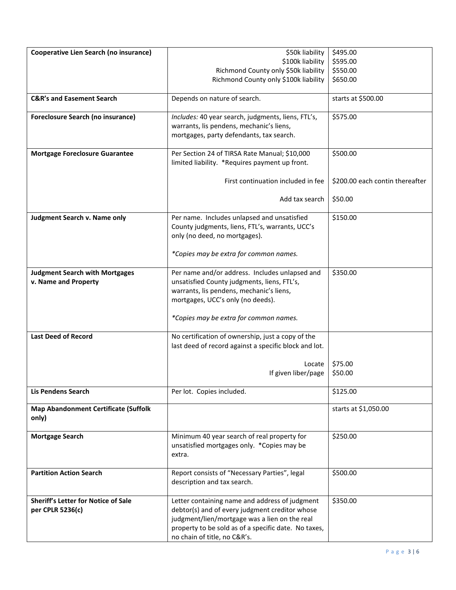| Cooperative Lien Search (no insurance)      | \$50k liability                                       | \$495.00                        |
|---------------------------------------------|-------------------------------------------------------|---------------------------------|
|                                             | \$100k liability                                      | \$595.00                        |
|                                             | Richmond County only \$50k liability                  | \$550.00                        |
|                                             | Richmond County only \$100k liability                 | \$650.00                        |
|                                             |                                                       |                                 |
| <b>C&amp;R's and Easement Search</b>        | Depends on nature of search.                          | starts at \$500.00              |
|                                             |                                                       |                                 |
| <b>Foreclosure Search (no insurance)</b>    | Includes: 40 year search, judgments, liens, FTL's,    | \$575.00                        |
|                                             | warrants, lis pendens, mechanic's liens,              |                                 |
|                                             | mortgages, party defendants, tax search.              |                                 |
|                                             |                                                       |                                 |
| <b>Mortgage Foreclosure Guarantee</b>       | Per Section 24 of TIRSA Rate Manual; \$10,000         | \$500.00                        |
|                                             | limited liability. *Requires payment up front.        |                                 |
|                                             |                                                       |                                 |
|                                             | First continuation included in fee                    | \$200.00 each contin thereafter |
|                                             |                                                       |                                 |
|                                             | Add tax search                                        | \$50.00                         |
|                                             |                                                       |                                 |
|                                             | Per name. Includes unlapsed and unsatisfied           | \$150.00                        |
| Judgment Search v. Name only                |                                                       |                                 |
|                                             | County judgments, liens, FTL's, warrants, UCC's       |                                 |
|                                             | only (no deed, no mortgages).                         |                                 |
|                                             |                                                       |                                 |
|                                             | *Copies may be extra for common names.                |                                 |
|                                             |                                                       |                                 |
| <b>Judgment Search with Mortgages</b>       | Per name and/or address. Includes unlapsed and        | \$350.00                        |
| v. Name and Property                        | unsatisfied County judgments, liens, FTL's,           |                                 |
|                                             | warrants, lis pendens, mechanic's liens,              |                                 |
|                                             | mortgages, UCC's only (no deeds).                     |                                 |
|                                             |                                                       |                                 |
|                                             | *Copies may be extra for common names.                |                                 |
|                                             |                                                       |                                 |
| <b>Last Deed of Record</b>                  | No certification of ownership, just a copy of the     |                                 |
|                                             | last deed of record against a specific block and lot. |                                 |
|                                             |                                                       |                                 |
|                                             | Locate                                                | \$75.00                         |
|                                             | If given liber/page                                   | \$50.00                         |
|                                             |                                                       |                                 |
| <b>Lis Pendens Search</b>                   | Per lot. Copies included.                             | \$125.00                        |
|                                             |                                                       | starts at \$1,050.00            |
| <b>Map Abandonment Certificate (Suffolk</b> |                                                       |                                 |
| only)                                       |                                                       |                                 |
|                                             |                                                       |                                 |
| <b>Mortgage Search</b>                      | Minimum 40 year search of real property for           | \$250.00                        |
|                                             | unsatisfied mortgages only. *Copies may be            |                                 |
|                                             | extra.                                                |                                 |
|                                             |                                                       |                                 |
| <b>Partition Action Search</b>              | Report consists of "Necessary Parties", legal         | \$500.00                        |
|                                             | description and tax search.                           |                                 |
|                                             |                                                       |                                 |
| <b>Sheriff's Letter for Notice of Sale</b>  | Letter containing name and address of judgment        | \$350.00                        |
| per CPLR 5236(c)                            | debtor(s) and of every judgment creditor whose        |                                 |
|                                             | judgment/lien/mortgage was a lien on the real         |                                 |
|                                             | property to be sold as of a specific date. No taxes,  |                                 |
|                                             | no chain of title, no C&R's.                          |                                 |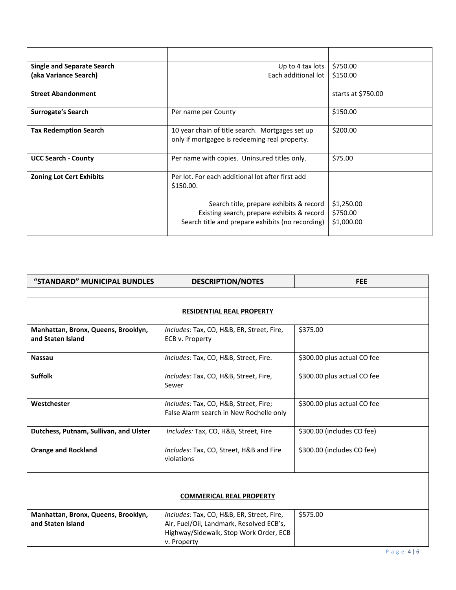| Single and Separate Search      | Up to 4 tax lots                                                                                 | \$750.00           |
|---------------------------------|--------------------------------------------------------------------------------------------------|--------------------|
| (aka Variance Search)           | Each additional lot                                                                              | \$150.00           |
|                                 |                                                                                                  |                    |
| <b>Street Abandonment</b>       |                                                                                                  | starts at \$750.00 |
| Surrogate's Search              | Per name per County                                                                              | \$150.00           |
| <b>Tax Redemption Search</b>    | 10 year chain of title search. Mortgages set up<br>only if mortgagee is redeeming real property. | \$200.00           |
| <b>UCC Search - County</b>      | Per name with copies. Uninsured titles only.                                                     | \$75.00            |
| <b>Zoning Lot Cert Exhibits</b> | Per lot. For each additional lot after first add<br>\$150.00.                                    |                    |
|                                 | Search title, prepare exhibits & record                                                          | \$1,250.00         |
|                                 | Existing search, prepare exhibits & record                                                       | \$750.00           |
|                                 | Search title and prepare exhibits (no recording)                                                 | \$1,000.00         |

| "STANDARD" MUNICIPAL BUNDLES                             | <b>DESCRIPTION/NOTES</b>                                                                                                                       | <b>FEE</b>                  |  |
|----------------------------------------------------------|------------------------------------------------------------------------------------------------------------------------------------------------|-----------------------------|--|
|                                                          |                                                                                                                                                |                             |  |
|                                                          | <b>RESIDENTIAL REAL PROPERTY</b>                                                                                                               |                             |  |
| Manhattan, Bronx, Queens, Brooklyn,<br>and Staten Island | Includes: Tax, CO, H&B, ER, Street, Fire,<br>ECB v. Property                                                                                   | \$375.00                    |  |
| <b>Nassau</b>                                            | Includes: Tax, CO, H&B, Street, Fire.                                                                                                          | \$300.00 plus actual CO fee |  |
| <b>Suffolk</b>                                           | Includes: Tax, CO, H&B, Street, Fire,<br>Sewer                                                                                                 | \$300.00 plus actual CO fee |  |
| Westchester                                              | Includes: Tax, CO, H&B, Street, Fire;<br>False Alarm search in New Rochelle only                                                               | \$300.00 plus actual CO fee |  |
| Dutchess, Putnam, Sullivan, and Ulster                   | Includes: Tax, CO, H&B, Street, Fire                                                                                                           | \$300.00 (includes CO fee)  |  |
| <b>Orange and Rockland</b>                               | Includes: Tax, CO, Street, H&B and Fire<br>violations                                                                                          | \$300.00 (includes CO fee)  |  |
|                                                          |                                                                                                                                                |                             |  |
| <b>COMMERICAL REAL PROPERTY</b>                          |                                                                                                                                                |                             |  |
| Manhattan, Bronx, Queens, Brooklyn,<br>and Staten Island | Includes: Tax, CO, H&B, ER, Street, Fire,<br>Air, Fuel/Oil, Landmark, Resolved ECB's,<br>Highway/Sidewalk, Stop Work Order, ECB<br>v. Property | \$575.00                    |  |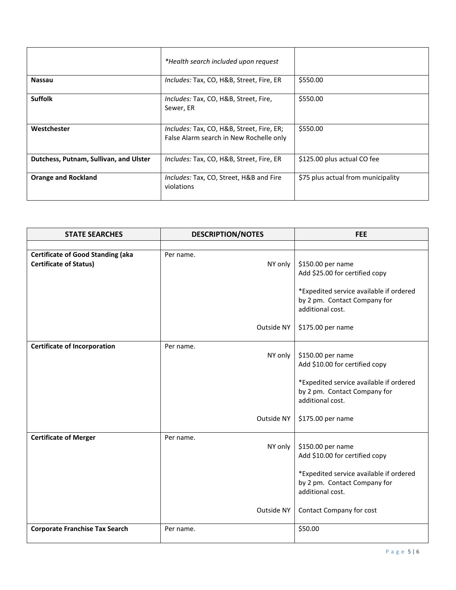|                                        | *Health search included upon request                                                 |                                    |
|----------------------------------------|--------------------------------------------------------------------------------------|------------------------------------|
| <b>Nassau</b>                          | Includes: Tax, CO, H&B, Street, Fire, ER                                             | \$550.00                           |
| <b>Suffolk</b>                         | Includes: Tax, CO, H&B, Street, Fire,<br>Sewer, ER                                   | \$550.00                           |
| Westchester                            | Includes: Tax, CO, H&B, Street, Fire, ER;<br>False Alarm search in New Rochelle only | \$550.00                           |
| Dutchess, Putnam, Sullivan, and Ulster | Includes: Tax, CO, H&B, Street, Fire, ER                                             | \$125.00 plus actual CO fee        |
| <b>Orange and Rockland</b>             | Includes: Tax, CO, Street, H&B and Fire<br>violations                                | \$75 plus actual from municipality |

| <b>STATE SEARCHES</b>                                                     | <b>DESCRIPTION/NOTES</b> | <b>FEE</b>                                                                                  |
|---------------------------------------------------------------------------|--------------------------|---------------------------------------------------------------------------------------------|
|                                                                           |                          |                                                                                             |
| <b>Certificate of Good Standing (aka</b><br><b>Certificate of Status)</b> | Per name.<br>NY only     | \$150.00 per name<br>Add \$25.00 for certified copy                                         |
|                                                                           |                          | *Expedited service available if ordered<br>by 2 pm. Contact Company for<br>additional cost. |
|                                                                           | Outside NY               | \$175.00 per name                                                                           |
| <b>Certificate of Incorporation</b>                                       | Per name.<br>NY only     | \$150.00 per name<br>Add \$10.00 for certified copy                                         |
|                                                                           |                          | *Expedited service available if ordered<br>by 2 pm. Contact Company for<br>additional cost. |
|                                                                           | Outside NY               | \$175.00 per name                                                                           |
| <b>Certificate of Merger</b>                                              | Per name.<br>NY only     | \$150.00 per name<br>Add \$10.00 for certified copy                                         |
|                                                                           |                          | *Expedited service available if ordered<br>by 2 pm. Contact Company for<br>additional cost. |
|                                                                           | Outside NY               | Contact Company for cost                                                                    |
| <b>Corporate Franchise Tax Search</b>                                     | Per name.                | \$50.00                                                                                     |